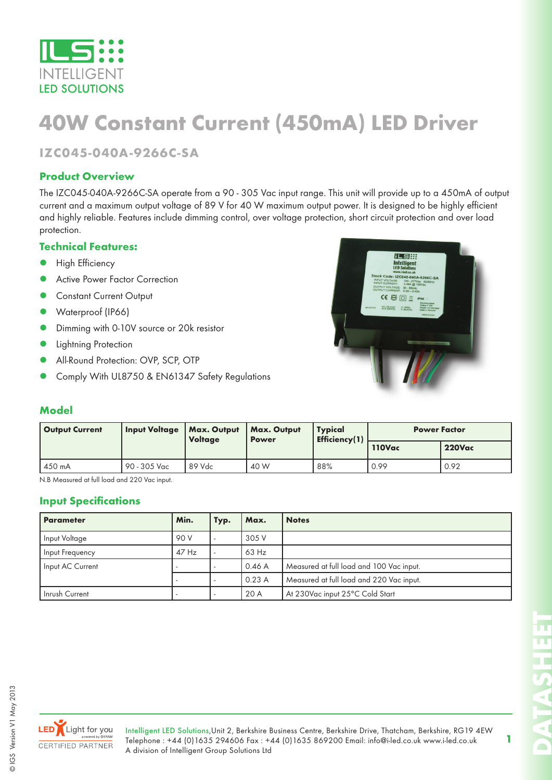

# **40W Constant Current (450mA) LED Driver**

**IZC045-040A-9266C-SA**

#### **Product Overview**

The IZC045-040A-9266C-SA operate from a 90 - 305 Vac input range. This unit will provide up to a 450mA of output current and a maximum output voltage of 89 V for 40 W maximum output power. It is designed to be highly efficient and highly reliable. Features include dimming control, over voltage protection, short circuit protection and over load protection.

#### **Technical Features:**

- High Efficiency
- Active Power Factor Correction
- Constant Current Output
- Waterproof (IP66)
- Dimming with 0-10V source or 20k resistor
- Lightning Protection
- All-Round Protection: OVP, SCP, OTP
- Comply With UL8750 & EN61347 Safety Regulations



#### **Model**

| <b>Output Current</b> | <b>Input Voltage</b> | Max. Output<br><b>Voltage</b> | <b>Max. Output</b><br><b>Power</b> | <b>Typical</b><br><b>Efficiency(1)</b> | <b>Power Factor</b> |               |  |
|-----------------------|----------------------|-------------------------------|------------------------------------|----------------------------------------|---------------------|---------------|--|
|                       |                      |                               |                                    |                                        | 110Vac              | <b>220Vac</b> |  |
| 450 mA                | 90 - 305 Vac         | 89 Vdc                        | 40 W                               | 88%                                    | 0.99                | 0.92          |  |

N.B Measured at full load and 220 Vac input.

#### **Input Specifications**

| <b>Parameter</b> | Min.    | Typ. | Max.    | <b>Notes</b>                             |
|------------------|---------|------|---------|------------------------------------------|
| Input Voltage    | 90 V    |      | 305 V   |                                          |
| Input Frequency  | $47$ Hz |      | $63$ Hz |                                          |
| Input AC Current |         |      | 0.46A   | Measured at full load and 100 Vac input. |
|                  |         |      | 0.23A   | Measured at full load and 220 Vac input. |
| Inrush Current   |         |      | 20 A    | At 230Vac input 25°C Cold Start          |



 $\odot$ 



Intelligent LED Solutions,Unit 2, Berkshire Business Centre, Berkshire Drive, Thatcham, Berkshire, RG19 4EW Telephone : +44 (0)1635 294606 Fax : +44 (0)1635 869200 Email: info@i-led.co.uk www.i-led.co.uk A division of Intelligent Group Solutions Ltd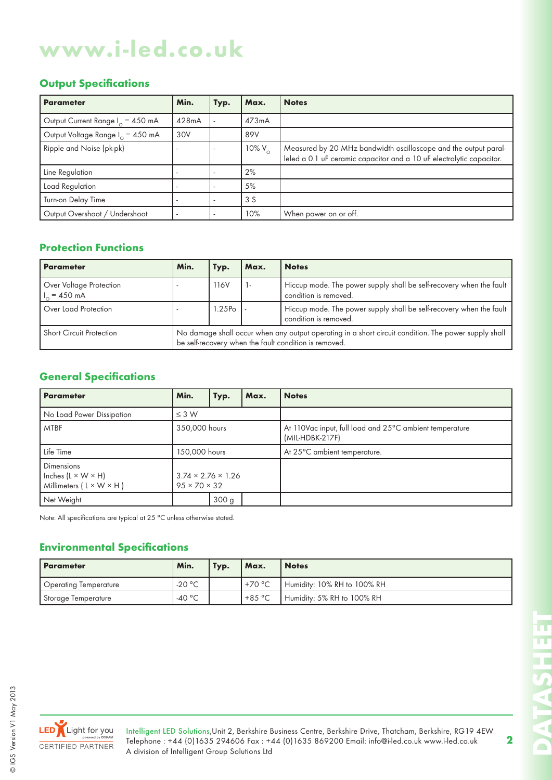# **www.i-led.co.uk**

#### **Output Specifications**

| <b>Parameter</b>                             | Min.  | Typ. | Max.            | <b>Notes</b>                                                                                                                            |
|----------------------------------------------|-------|------|-----------------|-----------------------------------------------------------------------------------------------------------------------------------------|
| Output Current Range I <sub>o</sub> = 450 mA | 428mA |      | 473mA           |                                                                                                                                         |
| Output Voltage Range I <sub>o</sub> = 450 mA | 30V   |      | 89V             |                                                                                                                                         |
| Ripple and Noise (pk-pk)                     |       |      | 10% $V_{\odot}$ | Measured by 20 MHz bandwidth oscilloscope and the output paral-<br>leled a 0.1 uF ceramic capacitor and a 10 uF electrolytic capacitor. |
| Line Regulation                              |       |      | 2%              |                                                                                                                                         |
| Load Regulation                              |       |      | 5%              |                                                                                                                                         |
| Turn-on Delay Time                           |       |      | 3S              |                                                                                                                                         |
| Output Overshoot / Undershoot                |       |      | 10%             | When power on or off.                                                                                                                   |

### **Protection Functions**

| <b>Parameter</b>                          | Min.                                                                                                                                                          | Typ.               | Max. | <b>Notes</b>                                                                                 |  |
|-------------------------------------------|---------------------------------------------------------------------------------------------------------------------------------------------------------------|--------------------|------|----------------------------------------------------------------------------------------------|--|
| Over Voltage Protection<br>$H_0 = 450$ mA |                                                                                                                                                               | 116V               |      | Hiccup mode. The power supply shall be self-recovery when the fault<br>condition is removed. |  |
| Over Load Protection                      |                                                                                                                                                               | 1.25P <sub>o</sub> |      | Hiccup mode. The power supply shall be self-recovery when the fault<br>condition is removed. |  |
| <b>Short Circuit Protection</b>           | No damage shall occur when any output operating in a short circuit condition. The power supply shall<br>be self-recovery when the fault condition is removed. |                    |      |                                                                                              |  |

# **General Specifications**

| <b>Parameter</b>                                                                           | Min.                                                       | Typ.             | Max. | <b>Notes</b>                                                               |  |  |
|--------------------------------------------------------------------------------------------|------------------------------------------------------------|------------------|------|----------------------------------------------------------------------------|--|--|
| No Load Power Dissipation                                                                  | $\leq$ 3 W                                                 |                  |      |                                                                            |  |  |
| <b>MTBF</b>                                                                                | 350,000 hours                                              |                  |      | At 110Vac input, full load and 25°C ambient temperature<br>(MIL-HDBK-217F) |  |  |
| Life Time                                                                                  | 150,000 hours                                              |                  |      | At 25°C ambient temperature.                                               |  |  |
| <b>Dimensions</b><br>Inches $(L \times W \times H)$<br>Millimeters $(L \times W \times H)$ | $3.74 \times 2.76 \times 1.26$<br>$95 \times 70 \times 32$ |                  |      |                                                                            |  |  |
| Net Weight                                                                                 |                                                            | 300 <sub>g</sub> |      |                                                                            |  |  |

Note: All specifications are typical at 25 °C unless otherwise stated.

### **Environmental Specifications**

| <b>Parameter</b>      | Min.             | Typ. | Max.     | <b>Notes</b>                |  |
|-----------------------|------------------|------|----------|-----------------------------|--|
| Operating Temperature | $-20 °C$         |      | $+70 °C$ | Humidity: 10% RH to 100% RH |  |
| Storage Temperature   | -40 $^{\circ}$ C |      | $+85 °C$ | Humidity: 5% RH to 100% RH  |  |



© IGS Version V1 May 2013

©IGS Version V1 May 2013

Intelligent LED Solutions,Unit 2, Berkshire Business Centre, Berkshire Drive, Thatcham, Berkshire, RG19 4EW Telephone : +44 (0)1635 294606 Fax : +44 (0)1635 869200 Email: info@i-led.co.uk www.i-led.co.uk A division of Intelligent Group Solutions Ltd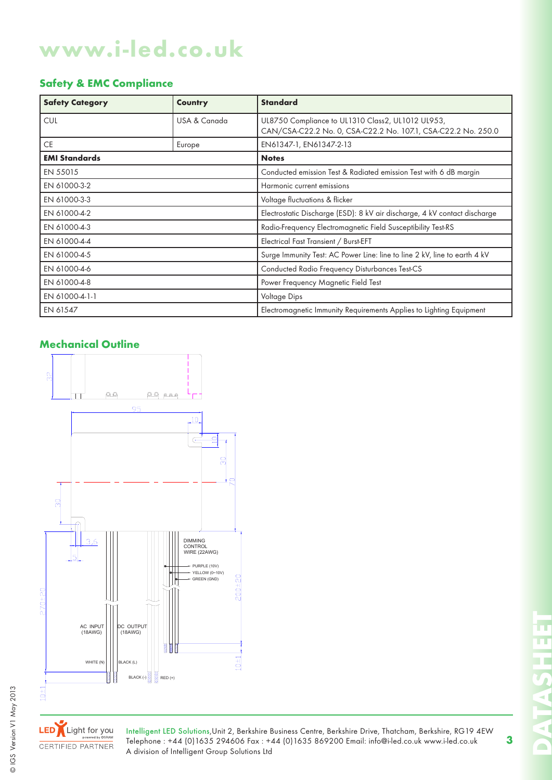# **www.i-led.co.uk**

# **Safety & EMC Compliance**

| <b>Safety Category</b> | Country      | <b>Standard</b>                                                                                                    |  |  |
|------------------------|--------------|--------------------------------------------------------------------------------------------------------------------|--|--|
| <b>CUL</b>             | USA & Canada | UL8750 Compliance to UL1310 Class2, UL1012 UL953,<br>CAN/CSA-C22.2 No. 0, CSA-C22.2 No. 107.1, CSA-C22.2 No. 250.0 |  |  |
| <b>CE</b>              | Europe       | EN61347-1, EN61347-2-13                                                                                            |  |  |
| <b>EMI Standards</b>   |              | <b>Notes</b>                                                                                                       |  |  |
| EN 55015               |              | Conducted emission Test & Radiated emission Test with 6 dB margin                                                  |  |  |
| EN 61000-3-2           |              | Harmonic current emissions                                                                                         |  |  |
| EN 61000-3-3           |              | Voltage fluctuations & flicker                                                                                     |  |  |
| EN 61000-4-2           |              | Electrostatic Discharge (ESD): 8 kV air discharge, 4 kV contact discharge                                          |  |  |
| EN 61000-4-3           |              | Radio-Frequency Electromagnetic Field Susceptibility Test-RS                                                       |  |  |
| EN 61000-4-4           |              | Electrical Fast Transient / Burst-EFT                                                                              |  |  |
| EN 61000-4-5           |              | Surge Immunity Test: AC Power Line: line to line 2 kV, line to earth 4 kV                                          |  |  |
| EN 61000-4-6           |              | Conducted Radio Frequency Disturbances Test-CS                                                                     |  |  |
| EN 61000-4-8           |              | Power Frequency Magnetic Field Test                                                                                |  |  |
| EN 61000-4-1-1         |              | Voltage Dips                                                                                                       |  |  |
| EN 61547               |              | Electromagnetic Immunity Requirements Applies to Lighting Equipment                                                |  |  |

#### **Mechanical Outline**





LED Light for you CERTIFIED PARTNER

Intelligent LED Solutions,Unit 2, Berkshire Business Centre, Berkshire Drive, Thatcham, Berkshire, RG19 4EW Telephone : +44 (0)1635 294606 Fax : +44 (0)1635 869200 Email: info@i-led.co.uk www.i-led.co.uk A division of Intelligent Group Solutions Ltd

π